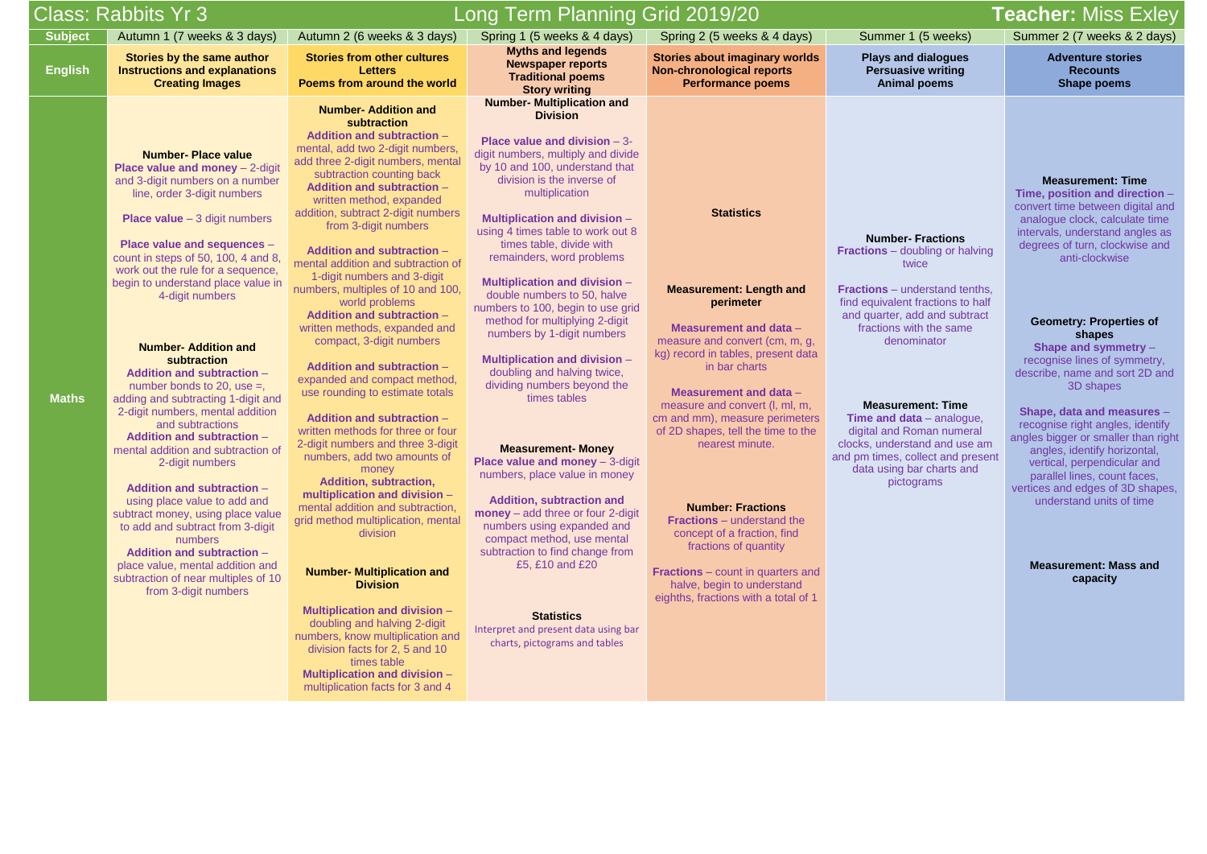**Plays and dialogues Persuasive writing Animal poems**

# **Teacher: Miss Exley**

## **1 (5 weeks) Summer 2 (7 weeks & 2 days) Summer 2 (7 weeks & 2 days)**

**Adventure stories Recounts Shape poems**

|                | Class: Rabbits Yr 3                                                                                                                                                                                                                                                                                                                                                                                                                                                                                                                                                                                                                                                                                                                                                                                                                                                                                                                                                 |                                                                                                                                                                                                                                                                                                                                                                                                                                                                                                                                                                                                                                                                                                                                                                                                                                                                                                                                                                                                                                                                                                                                                                                                                                                                                                                 | Long Term Planning Grid 2019/20                                                                                                                                                                                                                                                                                                                                                                                                                                                                                                                                                                                                                                                                                                                                                                                                                                                                                                                                                                                                                          |                                                                                                                                                                                                                                                                                                                                                                                                                                                                                                                                                                                       |                                                                                                                                                                                                                                                 |
|----------------|---------------------------------------------------------------------------------------------------------------------------------------------------------------------------------------------------------------------------------------------------------------------------------------------------------------------------------------------------------------------------------------------------------------------------------------------------------------------------------------------------------------------------------------------------------------------------------------------------------------------------------------------------------------------------------------------------------------------------------------------------------------------------------------------------------------------------------------------------------------------------------------------------------------------------------------------------------------------|-----------------------------------------------------------------------------------------------------------------------------------------------------------------------------------------------------------------------------------------------------------------------------------------------------------------------------------------------------------------------------------------------------------------------------------------------------------------------------------------------------------------------------------------------------------------------------------------------------------------------------------------------------------------------------------------------------------------------------------------------------------------------------------------------------------------------------------------------------------------------------------------------------------------------------------------------------------------------------------------------------------------------------------------------------------------------------------------------------------------------------------------------------------------------------------------------------------------------------------------------------------------------------------------------------------------|----------------------------------------------------------------------------------------------------------------------------------------------------------------------------------------------------------------------------------------------------------------------------------------------------------------------------------------------------------------------------------------------------------------------------------------------------------------------------------------------------------------------------------------------------------------------------------------------------------------------------------------------------------------------------------------------------------------------------------------------------------------------------------------------------------------------------------------------------------------------------------------------------------------------------------------------------------------------------------------------------------------------------------------------------------|---------------------------------------------------------------------------------------------------------------------------------------------------------------------------------------------------------------------------------------------------------------------------------------------------------------------------------------------------------------------------------------------------------------------------------------------------------------------------------------------------------------------------------------------------------------------------------------|-------------------------------------------------------------------------------------------------------------------------------------------------------------------------------------------------------------------------------------------------|
| <b>Subject</b> | Autumn 1 (7 weeks & 3 days)                                                                                                                                                                                                                                                                                                                                                                                                                                                                                                                                                                                                                                                                                                                                                                                                                                                                                                                                         | Autumn 2 (6 weeks & 3 days)                                                                                                                                                                                                                                                                                                                                                                                                                                                                                                                                                                                                                                                                                                                                                                                                                                                                                                                                                                                                                                                                                                                                                                                                                                                                                     | Spring 1 (5 weeks & 4 days)                                                                                                                                                                                                                                                                                                                                                                                                                                                                                                                                                                                                                                                                                                                                                                                                                                                                                                                                                                                                                              | Spring 2 (5 weeks & 4 days)                                                                                                                                                                                                                                                                                                                                                                                                                                                                                                                                                           | Summer                                                                                                                                                                                                                                          |
| <b>English</b> | Stories by the same author<br><b>Instructions and explanations</b><br><b>Creating Images</b>                                                                                                                                                                                                                                                                                                                                                                                                                                                                                                                                                                                                                                                                                                                                                                                                                                                                        | <b>Stories from other cultures</b><br><b>Letters</b><br>Poems from around the world                                                                                                                                                                                                                                                                                                                                                                                                                                                                                                                                                                                                                                                                                                                                                                                                                                                                                                                                                                                                                                                                                                                                                                                                                             | <b>Myths and legends</b><br><b>Newspaper reports</b><br><b>Traditional poems</b><br><b>Story writing</b>                                                                                                                                                                                                                                                                                                                                                                                                                                                                                                                                                                                                                                                                                                                                                                                                                                                                                                                                                 | <b>Stories about imaginary worlds</b><br><b>Non-chronological reports</b><br><b>Performance poems</b>                                                                                                                                                                                                                                                                                                                                                                                                                                                                                 | Plays an<br><b>Persuas</b><br>Anima                                                                                                                                                                                                             |
| <b>Maths</b>   | <b>Number-Place value</b><br><b>Place value and money - 2-digit</b><br>and 3-digit numbers on a number<br>line, order 3-digit numbers<br><b>Place value</b> $-3$ digit numbers<br>Place value and sequences -<br>count in steps of 50, 100, 4 and 8,<br>work out the rule for a sequence,<br>begin to understand place value in<br>4-digit numbers<br><b>Number- Addition and</b><br>subtraction<br><b>Addition and subtraction -</b><br>number bonds to 20, use $=$ ,<br>adding and subtracting 1-digit and<br>2-digit numbers, mental addition<br>and subtractions<br><b>Addition and subtraction -</b><br>mental addition and subtraction of<br>2-digit numbers<br><b>Addition and subtraction -</b><br>using place value to add and<br>subtract money, using place value<br>to add and subtract from 3-digit<br>numbers<br><b>Addition and subtraction -</b><br>place value, mental addition and<br>subtraction of near multiples of 10<br>from 3-digit numbers | <b>Number- Addition and</b><br>subtraction<br><b>Addition and subtraction -</b><br>mental, add two 2-digit numbers,<br>add three 2-digit numbers, mental<br>subtraction counting back<br><b>Addition and subtraction -</b><br>written method, expanded<br>addition, subtract 2-digit numbers<br>from 3-digit numbers<br><b>Addition and subtraction -</b><br>mental addition and subtraction of<br>1-digit numbers and 3-digit<br>numbers, multiples of 10 and 100,<br>world problems<br><b>Addition and subtraction -</b><br>written methods, expanded and<br>compact, 3-digit numbers<br><b>Addition and subtraction -</b><br>expanded and compact method,<br>use rounding to estimate totals<br><b>Addition and subtraction -</b><br>written methods for three or four<br>2-digit numbers and three 3-digit<br>numbers, add two amounts of<br>money<br><b>Addition, subtraction,</b><br>multiplication and division -<br>mental addition and subtraction,<br>grid method multiplication, mental<br>division<br><b>Number- Multiplication and</b><br><b>Division</b><br><b>Multiplication and division -</b><br>doubling and halving 2-digit<br>numbers, know multiplication and<br>division facts for 2, 5 and 10<br>times table<br><b>Multiplication and division -</b><br>multiplication facts for 3 and 4 | <b>Number- Multiplication and</b><br><b>Division</b><br>Place value and division $-3$ -<br>digit numbers, multiply and divide<br>by 10 and 100, understand that<br>division is the inverse of<br>multiplication<br><b>Multiplication and division -</b><br>using 4 times table to work out 8<br>times table, divide with<br>remainders, word problems<br><b>Multiplication and division -</b><br>double numbers to 50, halve<br>numbers to 100, begin to use grid<br>method for multiplying 2-digit<br>numbers by 1-digit numbers<br><b>Multiplication and division -</b><br>doubling and halving twice,<br>dividing numbers beyond the<br>times tables<br><b>Measurement- Money</b><br><b>Place value and money</b> - 3-digit<br>numbers, place value in money<br><b>Addition, subtraction and</b><br>money - add three or four 2-digit<br>numbers using expanded and<br>compact method, use mental<br>subtraction to find change from<br>£5, £10 and £20<br><b>Statistics</b><br>Interpret and present data using bar<br>charts, pictograms and tables | <b>Statistics</b><br><b>Measurement: Length and</b><br>perimeter<br>Measurement and data -<br>measure and convert (cm, m, g,<br>kg) record in tables, present data<br>in bar charts<br>Measurement and data -<br>measure and convert (I, ml, m,<br>cm and mm), measure perimeters<br>of 2D shapes, tell the time to the<br>nearest minute.<br><b>Number: Fractions</b><br><b>Fractions</b> – understand the<br>concept of a fraction, find<br>fractions of quantity<br><b>Fractions</b> – count in quarters and<br>halve, begin to understand<br>eighths, fractions with a total of 1 | <b>Number</b><br><b>Fractions</b> - do<br><b>Fractions</b> – ur<br>find equivalen<br>and quarter, a<br>fractions v<br>deno<br><b>Measure</b><br><b>Time and da</b><br>digital and R<br>clocks, unders<br>and pm times, o<br>data using<br>picto |
|                |                                                                                                                                                                                                                                                                                                                                                                                                                                                                                                                                                                                                                                                                                                                                                                                                                                                                                                                                                                     |                                                                                                                                                                                                                                                                                                                                                                                                                                                                                                                                                                                                                                                                                                                                                                                                                                                                                                                                                                                                                                                                                                                                                                                                                                                                                                                 |                                                                                                                                                                                                                                                                                                                                                                                                                                                                                                                                                                                                                                                                                                                                                                                                                                                                                                                                                                                                                                                          |                                                                                                                                                                                                                                                                                                                                                                                                                                                                                                                                                                                       |                                                                                                                                                                                                                                                 |
|                |                                                                                                                                                                                                                                                                                                                                                                                                                                                                                                                                                                                                                                                                                                                                                                                                                                                                                                                                                                     |                                                                                                                                                                                                                                                                                                                                                                                                                                                                                                                                                                                                                                                                                                                                                                                                                                                                                                                                                                                                                                                                                                                                                                                                                                                                                                                 |                                                                                                                                                                                                                                                                                                                                                                                                                                                                                                                                                                                                                                                                                                                                                                                                                                                                                                                                                                                                                                                          |                                                                                                                                                                                                                                                                                                                                                                                                                                                                                                                                                                                       |                                                                                                                                                                                                                                                 |

#### **Number- Fractions**

**Fraubling** or halving wice

nderstand tenths, It fractions to half add and subtract with the same ominator

### **ment: Time**

**ata** – analogue, Roman numeral stand and use am collect and present bar charts and ograms

#### **Measurement: Time**

**Time, position and direction** – convert time between digital and analogue clock, calculate time intervals, understand angles as degrees of turn, clockwise and anti-clockwise

#### **Geometry: Properties of shapes**

**Shape and symmetry** – recognise lines of symmetry, describe, name and sort 2D and 3D shapes

#### **Shape, data and measures** – recognise right angles, identify angles bigger or smaller than right angles, identify horizontal, vertical, perpendicular and parallel lines, count faces, vertices and edges of 3D shapes, understand units of time

**Measurement: Mass and capacity**